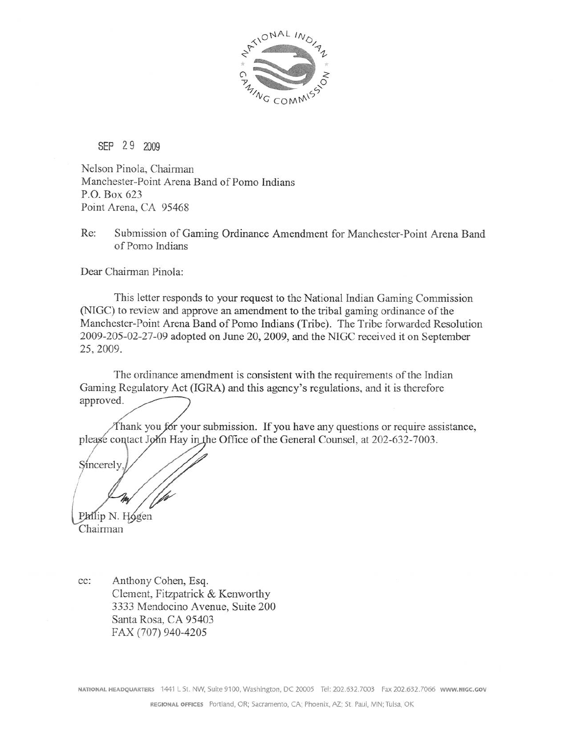

SEP 29 2009

Nelson Pinola, Chairman Manchester-Point Arena Band of Pomo Indians P.O. Box 623 Point Arena, CA 95468

Re: Submission of Gaming Ordinance Amendment for Manchester-Point Arena Band of Pomo Indians

Dear Chairman Pinola:

This letter responds to your request to the National Indian Gaming Commission (NIGC) to review and approve an amendment to the tribal gaming ordinance of the Manchester-Point Arena Band of Pomo Indians (Tribe). The Tribe forwarded Resolution 2009-205-02-27-09 adopted on June 20, 2009, and the NIGC received it on September 25, 2009.

The ordinance amendment is consistent with the requirements of the Indian Gaming Regulatory Act (IGRA) and this agency's regulations, and it is therefore approved.

Thank you for your submission. If you have any questions or require assistance, please contact John Hay in the Office of the General Counsel, at 202-632-7003.

Sincerely

Philip N. Hogen Chairman

Anthony Cohen, Esq. cc: Clement, Fitzpatrick & Kenworthy 3333 Mendocino Avenue, Suite 200 Santa Rosa, CA 95403 FAX (707) 940-4205

NATIONAL HEADQUARTERS 1441 L St. NW, Suite 9100, Washington, DC 20005 Tel: 202.632.7003 Fax 202.632.7066 WWW.NIGC.GOV